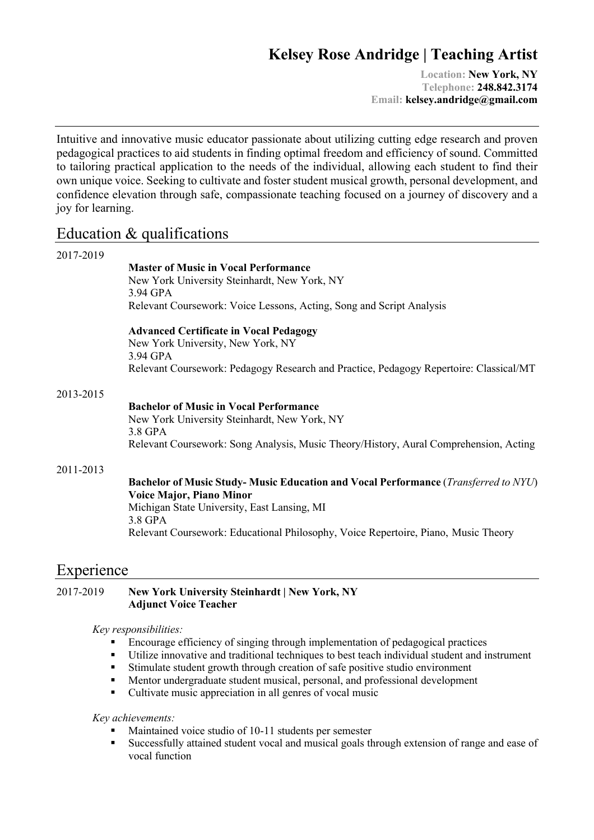# **Kelsey Rose Andridge | Teaching Artist**

**Location: New York, NY Telephone: 248.842.3174 Email: kelsey.andridge@gmail.com**

Intuitive and innovative music educator passionate about utilizing cutting edge research and proven pedagogical practices to aid students in finding optimal freedom and efficiency of sound. Committed to tailoring practical application to the needs of the individual, allowing each student to find their own unique voice. Seeking to cultivate and foster student musical growth, personal development, and confidence elevation through safe, compassionate teaching focused on a journey of discovery and a joy for learning.

# Education & qualifications

| 2017-2019 |                                                                                            |
|-----------|--------------------------------------------------------------------------------------------|
|           | <b>Master of Music in Vocal Performance</b>                                                |
|           | New York University Steinhardt, New York, NY                                               |
|           | 3.94 GPA                                                                                   |
|           | Relevant Coursework: Voice Lessons, Acting, Song and Script Analysis                       |
|           | <b>Advanced Certificate in Vocal Pedagogy</b>                                              |
|           | New York University, New York, NY                                                          |
|           | 3.94 GPA                                                                                   |
|           | Relevant Coursework: Pedagogy Research and Practice, Pedagogy Repertoire: Classical/MT     |
| 2013-2015 |                                                                                            |
|           | <b>Bachelor of Music in Vocal Performance</b>                                              |
|           | New York University Steinhardt, New York, NY                                               |
|           | 3.8 GPA                                                                                    |
|           | Relevant Coursework: Song Analysis, Music Theory/History, Aural Comprehension, Acting      |
| 2011-2013 |                                                                                            |
|           | <b>Bachelor of Music Study- Music Education and Vocal Performance (Transferred to NYU)</b> |
|           | <b>Voice Major, Piano Minor</b>                                                            |
|           | Michigan State University, East Lansing, MI                                                |
|           | 3.8 GPA                                                                                    |
|           | Relevant Coursework: Educational Philosophy, Voice Repertoire, Piano, Music Theory         |
|           |                                                                                            |
|           |                                                                                            |

# Experience

#### 2017-2019 **New York University Steinhardt | New York, NY Adjunct Voice Teacher**

#### *Key responsibilities:*

- Encourage efficiency of singing through implementation of pedagogical practices
- § Utilize innovative and traditional techniques to best teach individual student and instrument
- Stimulate student growth through creation of safe positive studio environment
- Mentor undergraduate student musical, personal, and professional development
- Cultivate music appreciation in all genres of vocal music

#### *Key achievements:*

- Maintained voice studio of 10-11 students per semester
- § Successfully attained student vocal and musical goals through extension of range and ease of vocal function